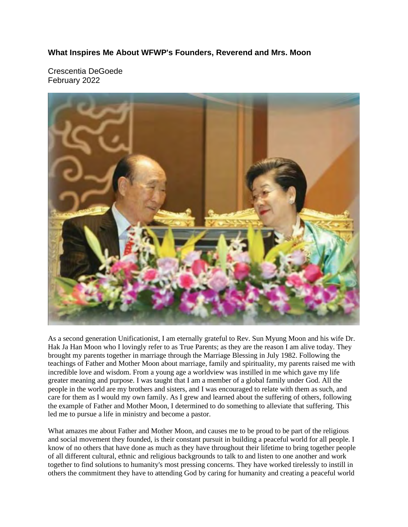## **What Inspires Me About WFWP's Founders, Reverend and Mrs. Moon**

Crescentia DeGoede February 2022



As a second generation Unificationist, I am eternally grateful to Rev. Sun Myung Moon and his wife Dr. Hak Ja Han Moon who I lovingly refer to as True Parents; as they are the reason I am alive today. They brought my parents together in marriage through the Marriage Blessing in July 1982. Following the teachings of Father and Mother Moon about marriage, family and spirituality, my parents raised me with incredible love and wisdom. From a young age a worldview was instilled in me which gave my life greater meaning and purpose. I was taught that I am a member of a global family under God. All the people in the world are my brothers and sisters, and I was encouraged to relate with them as such, and care for them as I would my own family. As I grew and learned about the suffering of others, following the example of Father and Mother Moon, I determined to do something to alleviate that suffering. This led me to pursue a life in ministry and become a pastor.

What amazes me about Father and Mother Moon, and causes me to be proud to be part of the religious and social movement they founded, is their constant pursuit in building a peaceful world for all people. I know of no others that have done as much as they have throughout their lifetime to bring together people of all different cultural, ethnic and religious backgrounds to talk to and listen to one another and work together to find solutions to humanity's most pressing concerns. They have worked tirelessly to instill in others the commitment they have to attending God by caring for humanity and creating a peaceful world